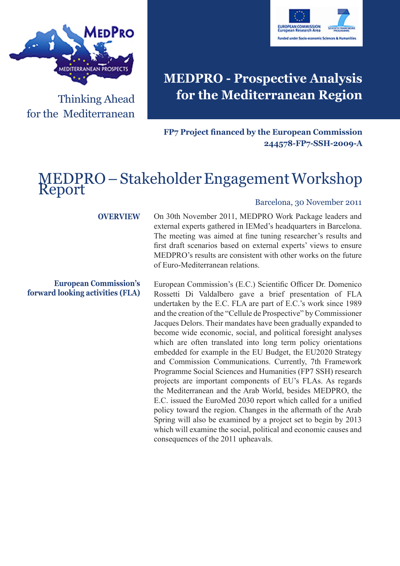

Thinking Ahead for the Mediterranean



# **MEDPRO - Prospective Analysis for the Mediterranean Region**

**FP7 Project financed by the European Commission 244578-FP7-SSH-2009-A**

## MEDPRO – Stakeholder Engagement Workshop Report

#### **OVERVIEW**

**European Commission's forward looking activities (FLA)**

#### Barcelona, 30 November 2011

On 30th November 2011, MEDPRO Work Package leaders and external experts gathered in IEMed's headquarters in Barcelona. The meeting was aimed at fine tuning researcher's results and first draft scenarios based on external experts' views to ensure MEDPRO's results are consistent with other works on the future of Euro-Mediterranean relations.

European Commission's (E.C.) Scientific Officer Dr. Domenico Rossetti Di Valdalbero gave a brief presentation of FLA undertaken by the E.C. FLA are part of E.C.'s work since 1989 and the creation of the "Cellule de Prospective" by Commissioner Jacques Delors. Their mandates have been gradually expanded to become wide economic, social, and political foresight analyses which are often translated into long term policy orientations embedded for example in the EU Budget, the EU2020 Strategy and Commission Communications. Currently, 7th Framework Programme Social Sciences and Humanities (FP7 SSH) research projects are important components of EU's FLAs. As regards the Mediterranean and the Arab World, besides MEDPRO, the E.C. issued the EuroMed 2030 report which called for a unified policy toward the region. Changes in the aftermath of the Arab Spring will also be examined by a project set to begin by 2013 which will examine the social, political and economic causes and consequences of the 2011 upheavals.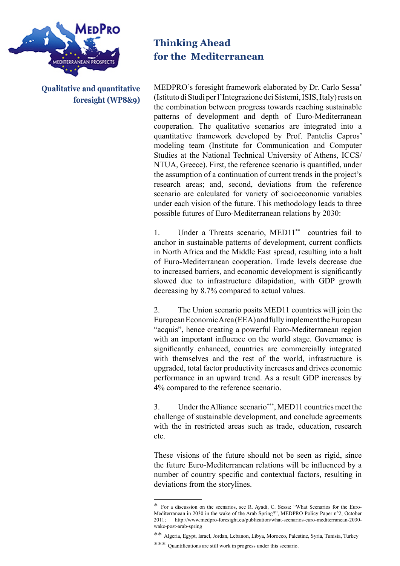

**Qualitative and quantitative foresight (WP8&9)**

## **Thinking Ahead for the Mediterranean**

MEDPRO's foresight framework elaborated by Dr. Carlo Sessa\* (Istituto di Studi per l'Integrazione dei Sistemi, ISIS, Italy) rests on the combination between progress towards reaching sustainable patterns of development and depth of Euro-Mediterranean cooperation. The qualitative scenarios are integrated into a quantitative framework developed by Prof. Pantelis Capros' modeling team (Institute for Communication and Computer Studies at the National Technical University of Athens, ICCS/ NTUA, Greece). First, the reference scenario is quantified, under the assumption of a continuation of current trends in the project's research areas; and, second, deviations from the reference scenario are calculated for variety of socioeconomic variables under each vision of the future. This methodology leads to three possible futures of Euro-Mediterranean relations by 2030:

1. Under a Threats scenario, MED11\*\* countries fail to anchor in sustainable patterns of development, current conflicts in North Africa and the Middle East spread, resulting into a halt of Euro-Mediterranean cooperation. Trade levels decrease due to increased barriers, and economic development is significantly slowed due to infrastructure dilapidation, with GDP growth decreasing by 8.7% compared to actual values.

2. The Union scenario posits MED11 countries will join the European Economic Area (EEA) and fully implement the European "acquis", hence creating a powerful Euro-Mediterranean region with an important influence on the world stage. Governance is significantly enhanced, countries are commercially integrated with themselves and the rest of the world, infrastructure is upgraded, total factor productivity increases and drives economic performance in an upward trend. As a result GDP increases by 4% compared to the reference scenario.

3. Under the Alliance scenario\*\*\*, MED11 countries meet the challenge of sustainable development, and conclude agreements with the in restricted areas such as trade, education, research etc.

These visions of the future should not be seen as rigid, since the future Euro-Mediterranean relations will be influenced by a number of country specific and contextual factors, resulting in deviations from the storylines.

<sup>\*</sup> For a discussion on the scenarios, see R. Ayadi, C. Sessa: "What Scenarios for the Euro-Mediterranean in 2030 in the wake of the Arab Spring?", MEDPRO Policy Paper n°2, October 2011; http://www.medpro-foresight.eu/publication/what-scenarios-euro-mediterranean-2030 wake-post-arab-spring

<sup>\*\*</sup> Algeria, Egypt, Israel, Jordan, Lebanon, Libya, Morocco, Palestine, Syria, Tunisia, Turkey

<sup>\*\*\*</sup> Quantifications are still work in progress under this scenario.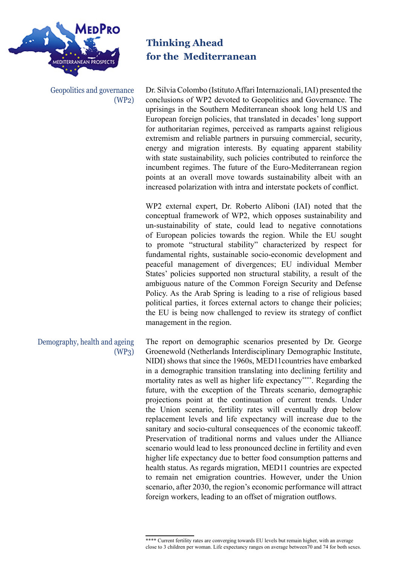

Geopolitics and governance (WP2) **Thinking Ahead for the Mediterranean**

Dr. Silvia Colombo (Istituto Affari Internazionali, IAI) presented the conclusions of WP2 devoted to Geopolitics and Governance. The uprisings in the Southern Mediterranean shook long held US and European foreign policies, that translated in decades' long support for authoritarian regimes, perceived as ramparts against religious extremism and reliable partners in pursuing commercial, security, energy and migration interests. By equating apparent stability with state sustainability, such policies contributed to reinforce the incumbent regimes. The future of the Euro-Mediterranean region points at an overall move towards sustainability albeit with an increased polarization with intra and interstate pockets of conflict.

WP2 external expert, Dr. Roberto Aliboni (IAI) noted that the conceptual framework of WP2, which opposes sustainability and un-sustainability of state, could lead to negative connotations of European policies towards the region. While the EU sought to promote "structural stability" characterized by respect for fundamental rights, sustainable socio-economic development and peaceful management of divergences; EU individual Member States' policies supported non structural stability, a result of the ambiguous nature of the Common Foreign Security and Defense Policy. As the Arab Spring is leading to a rise of religious based political parties, it forces external actors to change their policies; the EU is being now challenged to review its strategy of conflict management in the region.

The report on demographic scenarios presented by Dr. George Groenewold (Netherlands Interdisciplinary Demographic Institute, NIDI) shows that since the 1960s, MED11countries have embarked in a demographic transition translating into declining fertility and mortality rates as well as higher life expectancy\*\*\*\*. Regarding the future, with the exception of the Threats scenario, demographic projections point at the continuation of current trends. Under the Union scenario, fertility rates will eventually drop below replacement levels and life expectancy will increase due to the sanitary and socio-cultural consequences of the economic takeoff. Preservation of traditional norms and values under the Alliance scenario would lead to less pronounced decline in fertility and even higher life expectancy due to better food consumption patterns and health status. As regards migration, MED11 countries are expected to remain net emigration countries. However, under the Union scenario, after 2030, the region's economic performance will attract foreign workers, leading to an offset of migration outflows. Demography, health and ageing (WP3)

<sup>\*\*\*\*</sup> Current fertility rates are converging towards EU levels but remain higher, with an average close to 3 children per woman. Life expectancy ranges on average between70 and 74 for both sexes.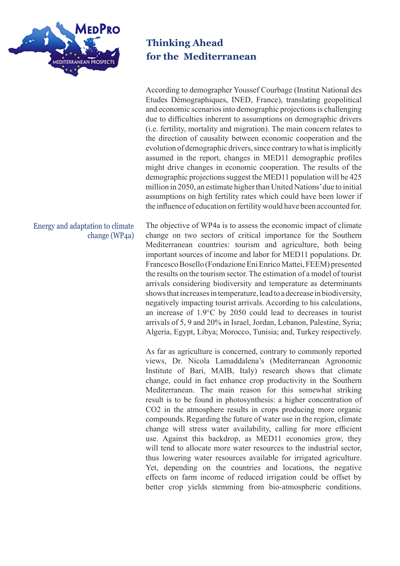

### Energy and adaptation to climate change (WP4a)

**Thinking Ahead for the Mediterranean**

According to demographer Youssef Courbage (Institut National des Etudes Démographiques, INED, France), translating geopolitical and economic scenarios into demographic projections is challenging due to difficulties inherent to assumptions on demographic drivers (i.e. fertility, mortality and migration). The main concern relates to the direction of causality between economic cooperation and the evolution of demographic drivers, since contrary to what is implicitly assumed in the report, changes in MED11 demographic profiles might drive changes in economic cooperation. The results of the demographic projections suggest the MED11 population will be 425 million in 2050, an estimate higher than United Nations' due to initial assumptions on high fertility rates which could have been lower if the influence of education on fertility would have been accounted for.

The objective of WP4a is to assess the economic impact of climate change on two sectors of critical importance for the Southern Mediterranean countries: tourism and agriculture, both being important sources of income and labor for MED11 populations. Dr. Francesco Bosello (Fondazione Eni Enrico Mattei, FEEM) presented the results on the tourism sector. The estimation of a model of tourist arrivals considering biodiversity and temperature as determinants shows that increases in temperature, lead to a decrease in biodiversity, negatively impacting tourist arrivals. According to his calculations, an increase of 1.9°C by 2050 could lead to decreases in tourist arrivals of 5, 9 and 20% in Israel, Jordan, Lebanon, Palestine, Syria; Algeria, Egypt, Libya; Morocco, Tunisia; and, Turkey respectively.

As far as agriculture is concerned, contrary to commonly reported views, Dr. Nicola Lamaddalena's (Mediterranean Agronomic Institute of Bari, MAIB, Italy) research shows that climate change, could in fact enhance crop productivity in the Southern Mediterranean. The main reason for this somewhat striking result is to be found in photosynthesis: a higher concentration of CO2 in the atmosphere results in crops producing more organic compounds. Regarding the future of water use in the region, climate change will stress water availability, calling for more efficient use. Against this backdrop, as MED11 economies grow, they will tend to allocate more water resources to the industrial sector, thus lowering water resources available for irrigated agriculture. Yet, depending on the countries and locations, the negative effects on farm income of reduced irrigation could be offset by better crop yields stemming from bio-atmospheric conditions.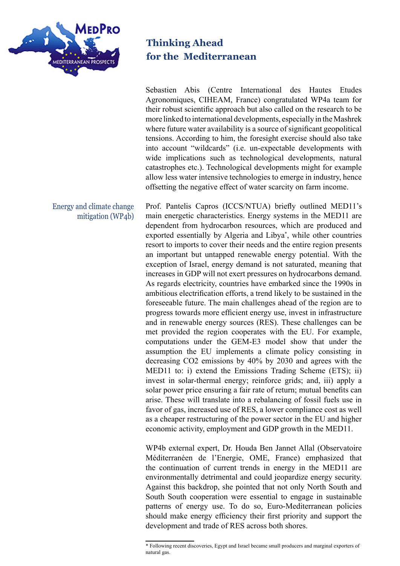

Energy and climate change mitigation (WP4b) **Thinking Ahead for the Mediterranean**

Sebastien Abis (Centre International des Hautes Etudes Agronomiques, CIHEAM, France) congratulated WP4a team for their robust scientific approach but also called on the research to be more linked to international developments, especially in the Mashrek where future water availability is a source of significant geopolitical tensions. According to him, the foresight exercise should also take into account "wildcards" (i.e. un-expectable developments with wide implications such as technological developments, natural catastrophes etc.). Technological developments might for example allow less water intensive technologies to emerge in industry, hence offsetting the negative effect of water scarcity on farm income.

Prof. Pantelis Capros (ICCS/NTUA) briefly outlined MED11's main energetic characteristics. Energy systems in the MED11 are dependent from hydrocarbon resources, which are produced and exported essentially by Algeria and Libya\* , while other countries resort to imports to cover their needs and the entire region presents an important but untapped renewable energy potential. With the exception of Israel, energy demand is not saturated, meaning that increases in GDP will not exert pressures on hydrocarbons demand. As regards electricity, countries have embarked since the 1990s in ambitious electrification efforts, a trend likely to be sustained in the foreseeable future. The main challenges ahead of the region are to progress towards more efficient energy use, invest in infrastructure and in renewable energy sources (RES). These challenges can be met provided the region cooperates with the EU. For example, computations under the GEM-E3 model show that under the assumption the EU implements a climate policy consisting in decreasing CO2 emissions by 40% by 2030 and agrees with the MED11 to: i) extend the Emissions Trading Scheme (ETS); ii) invest in solar-thermal energy; reinforce grids; and, iii) apply a solar power price ensuring a fair rate of return; mutual benefits can arise. These will translate into a rebalancing of fossil fuels use in favor of gas, increased use of RES, a lower compliance cost as well as a cheaper restructuring of the power sector in the EU and higher economic activity, employment and GDP growth in the MED11.

WP4b external expert, Dr. Houda Ben Jannet Allal (Observatoire Méditerranéen de l'Energie, OME, France) emphasized that the continuation of current trends in energy in the MED11 are environmentally detrimental and could jeopardize energy security. Against this backdrop, she pointed that not only North South and South South cooperation were essential to engage in sustainable patterns of energy use. To do so, Euro-Mediterranean policies should make energy efficiency their first priority and support the development and trade of RES across both shores.

<sup>\*</sup> Following recent discoveries, Egypt and Israel became small producers and marginal exporters of natural gas.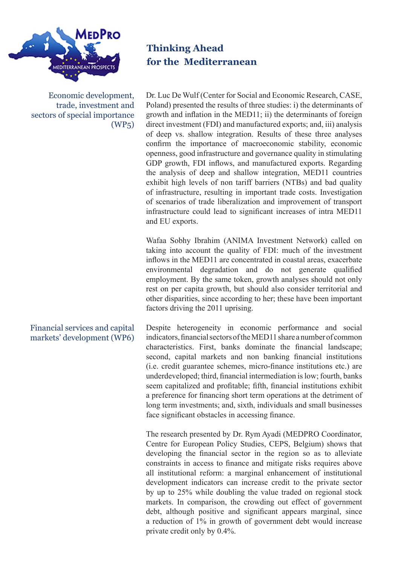

Economic development, trade, investment and sectors of special importance (WP5)

### Financial services and capital markets' development (WP6)

**Thinking Ahead for the Mediterranean**

Dr. Luc De Wulf (Center for Social and Economic Research, CASE, Poland) presented the results of three studies: i) the determinants of growth and inflation in the MED11; ii) the determinants of foreign direct investment (FDI) and manufactured exports; and, iii) analysis of deep vs. shallow integration. Results of these three analyses confirm the importance of macroeconomic stability, economic openness, good infrastructure and governance quality in stimulating GDP growth, FDI inflows, and manufactured exports. Regarding the analysis of deep and shallow integration, MED11 countries exhibit high levels of non tariff barriers (NTBs) and bad quality of infrastructure, resulting in important trade costs. Investigation of scenarios of trade liberalization and improvement of transport infrastructure could lead to significant increases of intra MED11 and EU exports.

Wafaa Sobhy Ibrahim (ANIMA Investment Network) called on taking into account the quality of FDI: much of the investment inflows in the MED11 are concentrated in coastal areas, exacerbate environmental degradation and do not generate qualified employment. By the same token, growth analyses should not only rest on per capita growth, but should also consider territorial and other disparities, since according to her; these have been important factors driving the 2011 uprising.

Despite heterogeneity in economic performance and social indicators, financial sectors of the MED11 share a number of common characteristics. First, banks dominate the financial landscape; second, capital markets and non banking financial institutions (i.e. credit guarantee schemes, micro-finance institutions etc.) are underdeveloped; third, financial intermediation is low; fourth, banks seem capitalized and profitable; fifth, financial institutions exhibit a preference for financing short term operations at the detriment of long term investments; and, sixth, individuals and small businesses face significant obstacles in accessing finance.

The research presented by Dr. Rym Ayadi (MEDPRO Coordinator, Centre for European Policy Studies, CEPS, Belgium) shows that developing the financial sector in the region so as to alleviate constraints in access to finance and mitigate risks requires above all institutional reform: a marginal enhancement of institutional development indicators can increase credit to the private sector by up to 25% while doubling the value traded on regional stock markets. In comparison, the crowding out effect of government debt, although positive and significant appears marginal, since a reduction of 1% in growth of government debt would increase private credit only by 0.4%.